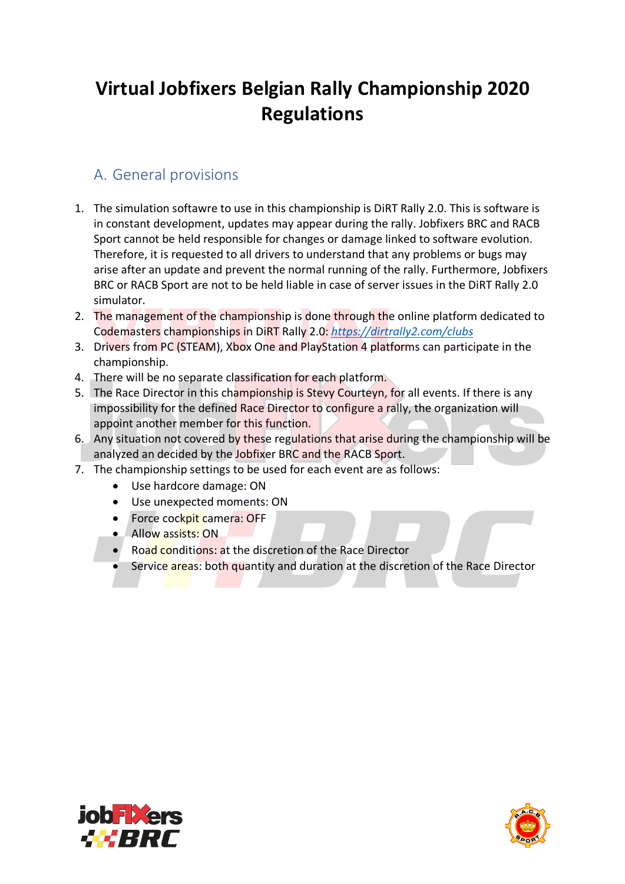# **Virtual Jobfixers Belgian Rally Championship 2020 Regulations**

## A. General provisions

- 1. The simulation softawre to use in this championship is DiRT Rally 2.0. This is software is in constant development, updates may appear during the rally. Jobfixers BRC and RACB Sport cannot be held responsible for changes or damage linked to software evolution. Therefore, it is requested to all drivers to understand that any problems or bugs may arise after an update and prevent the normal running of the rally. Furthermore, Jobfixers BRC or RACB Sport are not to be held liable in case of server issues in the DiRT Rally 2.0 simulator.
- 2. The management of the championship is done through the online platform dedicated to Codemasters championships in DiRT Rally 2.0: *https://dirtrally2.com/clubs*
- 3. Drivers from PC (STEAM), Xbox One and PlayStation 4 platforms can participate in the championship.
- 4. There will be no separate classification for each platform.
- 5. The Race Director in this championship is Stevy Courteyn, for all events. If there is any impossibility for the defined Race Director to configure a rally, the organization will appoint another member for this function.
- 6. Any situation not covered by these regulations that arise during the championship will be analyzed an decided by the Jobfixer BRC and the RACB Sport.
- 7. The championship settings to be used for each event are as follows:
	- Use hardcore damage: ON
	- Use unexpected moments: ON
	- Force cockpit camera: OFF
	- Allow assists: ON
	- Road conditions: at the discretion of the Race Director
	- Service areas: both quantity and duration at the discretion of the Race Director



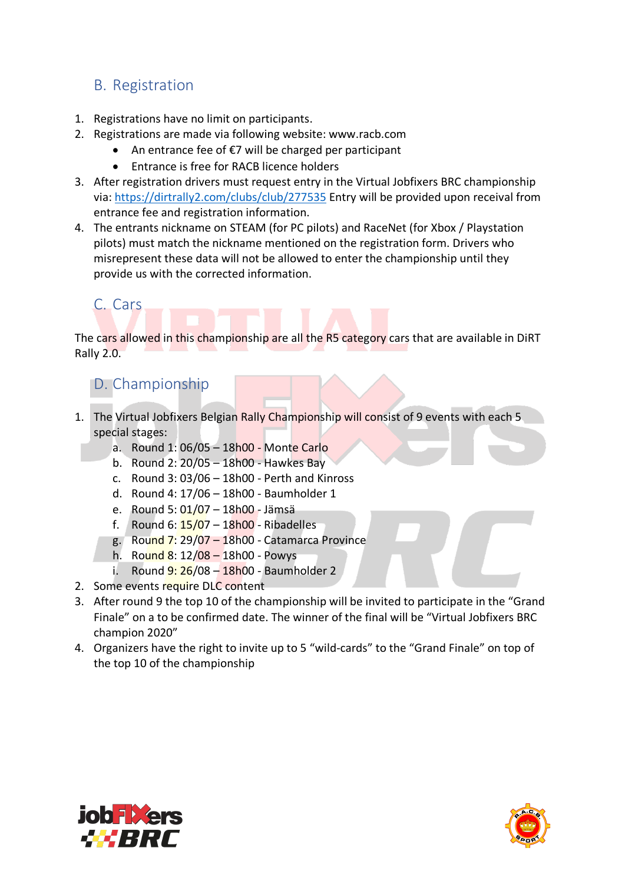### B. Registration

- 1. Registrations have no limit on participants.
- 2. Registrations are made via following website: www.racb.com
	- An entrance fee of €7 will be charged per participant
	- Entrance is free for RACB licence holders
- 3. After registration drivers must request entry in the Virtual Jobfixers BRC championship via: https://dirtrally2.com/clubs/club/277535 Entry will be provided upon receival from entrance fee and registration information.
- 4. The entrants nickname on STEAM (for PC pilots) and RaceNet (for Xbox / Playstation pilots) must match the nickname mentioned on the registration form. Drivers who misrepresent these data will not be allowed to enter the championship until they provide us with the corrected information.

#### C. Cars

The cars allowed in this championship are all the R5 category cars that are available in DiRT Rally 2.0.

#### D. Championship

- 1. The Virtual Jobfixers Belgian Rally Championship will consist of 9 events with each 5 special stages:
	- a. Round 1: 06/05 18h00 Monte Carlo
	- b. Round 2: 20/05 18h00 Hawkes Bay
	- c. Round  $3:03/06 18h00 -$  Perth and Kinross
	- d. Round 4: 17/06 18h00 Baumholder 1
	- e. Round 5: 01/07 18h00 Jämsä
	- f. Round 6:  $15/07 18h00$  Ribadelles
	- g. Round 7: 29/07 18h00 Catamarca Province
	- h. Round 8: 12/08 18h00 Powys
	- i. Round  $9:26/08 18h00$  Baumholder 2
- 2. Some events require DLC content
- 3. After round 9 the top 10 of the championship will be invited to participate in the "Grand Finale" on a to be confirmed date. The winner of the final will be "Virtual Jobfixers BRC champion 2020"
- 4. Organizers have the right to invite up to 5 "wild-cards" to the "Grand Finale" on top of the top 10 of the championship